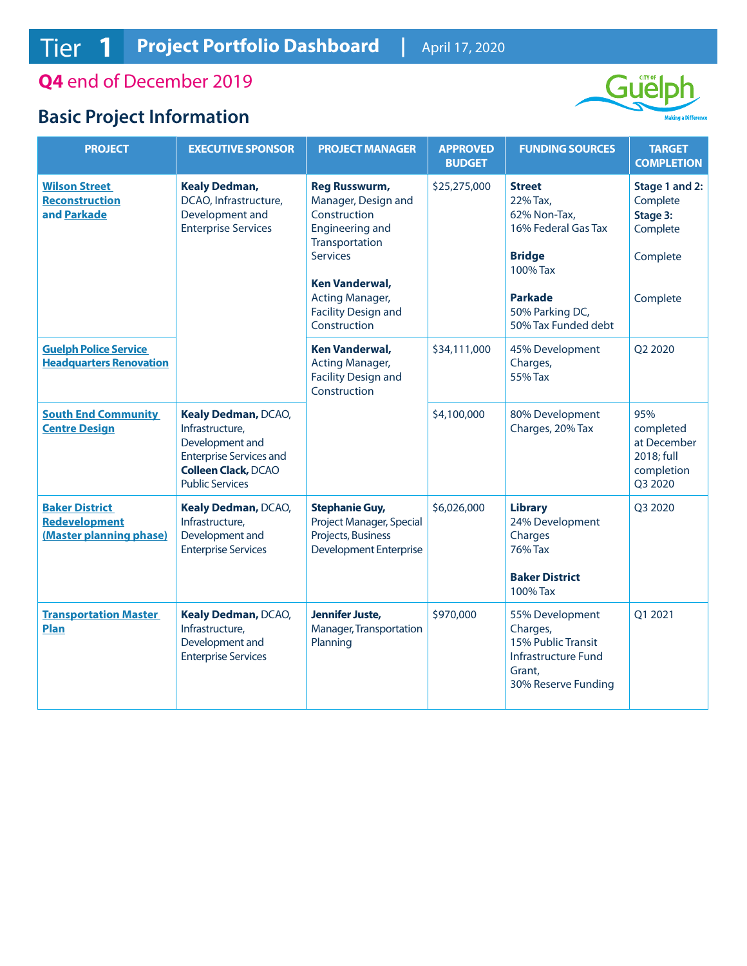**Q4** end of December 2019

## **Basic Project Information**



| <b>PROJECT</b>                                                           | <b>EXECUTIVE SPONSOR</b>                                                                                                                            | <b>PROJECT MANAGER</b>                                                                                                                                                                                                               | <b>APPROVED</b><br><b>BUDGET</b> | <b>FUNDING SOURCES</b>                                                                                                                                    | <b>TARGET</b><br><b>COMPLETION</b>                                         |
|--------------------------------------------------------------------------|-----------------------------------------------------------------------------------------------------------------------------------------------------|--------------------------------------------------------------------------------------------------------------------------------------------------------------------------------------------------------------------------------------|----------------------------------|-----------------------------------------------------------------------------------------------------------------------------------------------------------|----------------------------------------------------------------------------|
| <b>Wilson Street</b><br><b>Reconstruction</b><br>and Parkade             | <b>Kealy Dedman,</b><br>DCAO, Infrastructure,<br>Development and<br><b>Enterprise Services</b>                                                      | <b>Reg Russwurm,</b><br>\$25,275,000<br>Manager, Design and<br>Construction<br><b>Engineering and</b><br>Transportation<br><b>Services</b><br><b>Ken Vanderwal,</b><br>Acting Manager,<br><b>Facility Design and</b><br>Construction |                                  | <b>Street</b><br>22% Tax,<br>62% Non-Tax,<br>16% Federal Gas Tax<br><b>Bridge</b><br>100% Tax<br><b>Parkade</b><br>50% Parking DC,<br>50% Tax Funded debt | Stage 1 and 2:<br>Complete<br>Stage 3:<br>Complete<br>Complete<br>Complete |
| <b>Guelph Police Service</b><br><b>Headquarters Renovation</b>           |                                                                                                                                                     | <b>Ken Vanderwal,</b><br>Acting Manager,<br><b>Facility Design and</b><br>Construction                                                                                                                                               | \$34,111,000                     | 45% Development<br>Charges,<br>55% Tax                                                                                                                    | Q2 2020                                                                    |
| <b>South End Community</b><br><b>Centre Design</b>                       | Kealy Dedman, DCAO,<br>Infrastructure,<br>Development and<br><b>Enterprise Services and</b><br><b>Colleen Clack, DCAO</b><br><b>Public Services</b> |                                                                                                                                                                                                                                      | \$4,100,000                      | 80% Development<br>Charges, 20% Tax                                                                                                                       | 95%<br>completed<br>at December<br>2018; full<br>completion<br>Q3 2020     |
| <b>Baker District</b><br><b>Redevelopment</b><br>(Master planning phase) | Kealy Dedman, DCAO,<br>Infrastructure,<br>Development and<br><b>Enterprise Services</b>                                                             | <b>Stephanie Guy,</b><br>Project Manager, Special<br>Projects, Business<br><b>Development Enterprise</b>                                                                                                                             | \$6,026,000                      | <b>Library</b><br>24% Development<br>Charges<br>76% Tax<br><b>Baker District</b><br>100% Tax                                                              | Q3 2020                                                                    |
| <b>Transportation Master</b><br><b>Plan</b>                              | Kealy Dedman, DCAO,<br>Infrastructure,<br>Development and<br><b>Enterprise Services</b>                                                             | <b>Jennifer Juste,</b><br>Manager, Transportation<br>Planning                                                                                                                                                                        | \$970,000                        | 55% Development<br>Charges,<br>15% Public Transit<br><b>Infrastructure Fund</b><br>Grant,<br>30% Reserve Funding                                          | Q1 2021                                                                    |